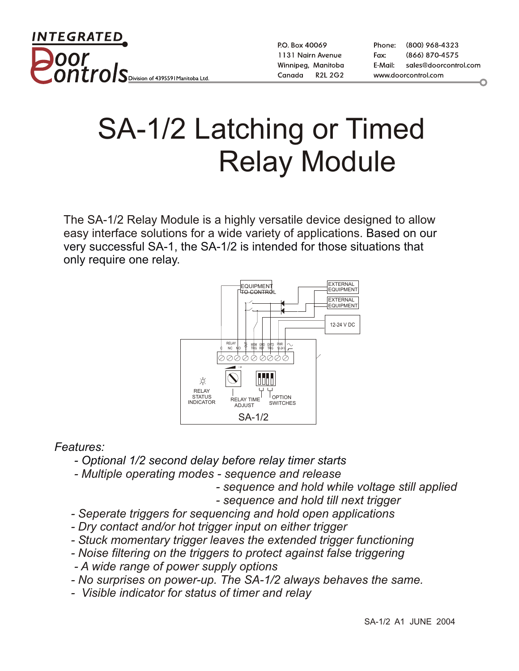INTEGRATED ontro. S Division of 4395591 Manitoba Ltd

P.O. Box 40069 1131 Nairn Avenue Winnipeg, Manitoba **R2L 2G2** Canada

Phone: (800) 968-4323 (866) 870-4575 Fax: E-Mail: sales@doorcontrol.com www.doorcontrol.com

## SA-1/2 Latching or Timed Relay Module

The SA-1/2 Relay Module is a highly versatile device designed to allow easy interface solutions for a wide variety of applications. Based on our very successful SA-1, the SA-1/2 is intended for those situations that only require one relay.



*Features:*

- *Optional 1/2 second delay before relay timer starts*
- *Multiple operating modes sequence and release*
	- *sequence and hold while voltage still applied*
	- *sequence and hold till next trigger*
- *Seperate triggers for sequencing and hold open applications*
- *Dry contact and/or hot trigger input on either trigger*
- *Stuck momentary trigger leaves the extended trigger functioning*
- *Noise filtering on the triggers to protect against false triggering*
- *A wide range of power supply options*
- *No surprises on power-up. The SA-1/2 always behaves the same.*
- *Visible indicator for status of timer and relay*